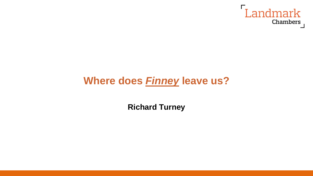

# **Where does** *Finney* **leave us?**

**Richard Turney**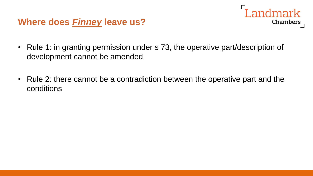#### **Where does** *Finney* **leave us?**

• Rule 1: in granting permission under s 73, the operative part/description of development cannot be amended

Landmark

**Chambers** 

• Rule 2: there cannot be a contradiction between the operative part and the conditions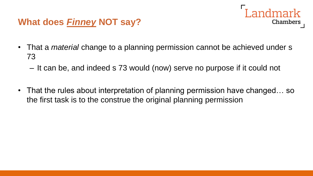

#### **What does** *Finney* **NOT say?**

- That a *material* change to a planning permission cannot be achieved under s 73
	- It can be, and indeed s 73 would (now) serve no purpose if it could not
- That the rules about interpretation of planning permission have changed... so the first task is to the construe the original planning permission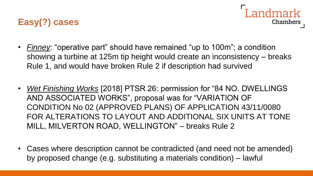



- *Finney*: "operative part" should have remained "up to 100m"; a condition showing a turbine at 125m tip height would create an inconsistency – breaks Rule 1, and would have broken Rule 2 if description had survived
- *Wet Finishing Works* [2018] PTSR 26: permission for "84 NO. DWELLINGS AND ASSOCIATED WORKS", proposal was for "VARIATION OF CONDITION No 02 (APPROVED PLANS) OF APPLICATION 43/11/0080 FOR ALTERATIONS TO LAYOUT AND ADDITIONAL SIX UNITS AT TONE MILL, MILVERTON ROAD, WELLINGTON" – breaks Rule 2
- Cases where description cannot be contradicted (and need not be amended) by proposed change (e.g. substituting a materials condition) – lawful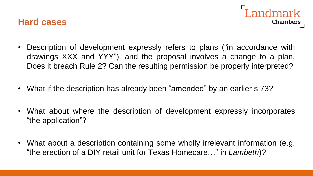



- Description of development expressly refers to plans ("in accordance with drawings XXX and YYY"), and the proposal involves a change to a plan. Does it breach Rule 2? Can the resulting permission be properly interpreted?
- What if the description has already been "amended" by an earlier s 73?
- What about where the description of development expressly incorporates "the application"?
- What about a description containing some wholly irrelevant information (e.g. "the erection of a DIY retail unit for Texas Homecare…" in *Lambeth*)?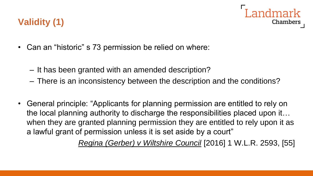

## **Validity (1)**

- Can an "historic" s 73 permission be relied on where:
	- It has been granted with an amended description?
	- There is an inconsistency between the description and the conditions?
- General principle: "Applicants for planning permission are entitled to rely on the local planning authority to discharge the responsibilities placed upon it… when they are granted planning permission they are entitled to rely upon it as a lawful grant of permission unless it is set aside by a court"

*Regina (Gerber) v Wiltshire Council* [2016] 1 W.L.R. 2593, [55]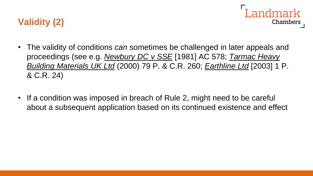



- The validity of conditions *can* sometimes be challenged in later appeals and proceedings (see e.g. *Newbury DC v SSE* [1981] AC 578; *Tarmac Heavy Building Materials UK Ltd* (2000) 79 P. & C.R. 260; *Earthline Ltd* [2003] 1 P. & C.R. 24)
- If a condition was imposed in breach of Rule 2, might need to be careful about a subsequent application based on its continued existence and effect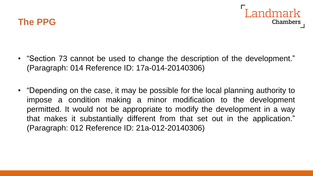

- "Section 73 cannot be used to change the description of the development." (Paragraph: 014 Reference ID: 17a-014-20140306)
- "Depending on the case, it may be possible for the local planning authority to impose a condition making a minor modification to the development permitted. It would not be appropriate to modify the development in a way that makes it substantially different from that set out in the application." (Paragraph: 012 Reference ID: 21a-012-20140306)